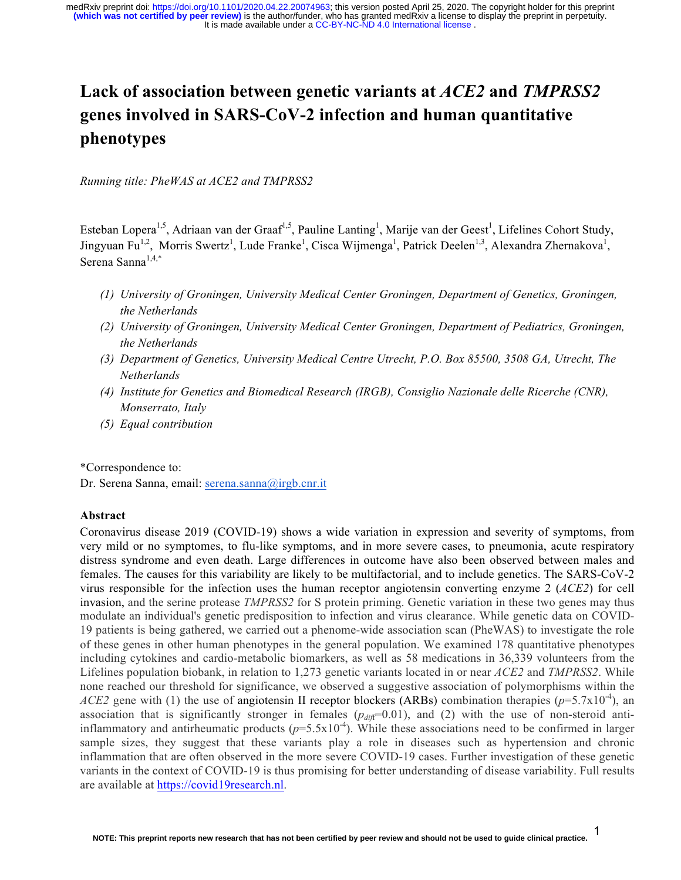# **Lack of association between genetic variants at** *ACE2* **and** *TMPRSS2* **genes involved in SARS-CoV-2 infection and human quantitative phenotypes**

*Running title: PheWAS at ACE2 and TMPRSS2*

Esteban Lopera<sup>1,5</sup>, Adriaan van der Graaf<sup>1,5</sup>, Pauline Lanting<sup>1</sup>, Marije van der Geest<sup>1</sup>, Lifelines Cohort Study, Jingyuan Fu<sup>1,2</sup>, Morris Swertz<sup>1</sup>, Lude Franke<sup>1</sup>, Cisca Wijmenga<sup>1</sup>, Patrick Deelen<sup>1,3</sup>, Alexandra Zhernakova<sup>1</sup>, Serena Sanna1,4,\*

- *(1) University of Groningen, University Medical Center Groningen, Department of Genetics, Groningen, the Netherlands*
- *(2) University of Groningen, University Medical Center Groningen, Department of Pediatrics, Groningen, the Netherlands*
- *(3) Department of Genetics, University Medical Centre Utrecht, P.O. Box 85500, 3508 GA, Utrecht, The Netherlands*
- *(4) Institute for Genetics and Biomedical Research (IRGB), Consiglio Nazionale delle Ricerche (CNR), Monserrato, Italy*
- *(5) Equal contribution*

\*Correspondence to:

Dr. Serena Sanna, email: serena.sanna@irgb.cnr.it

# **Abstract**

Coronavirus disease 2019 (COVID-19) shows a wide variation in expression and severity of symptoms, from very mild or no symptomes, to flu-like symptoms, and in more severe cases, to pneumonia, acute respiratory distress syndrome and even death. Large differences in outcome have also been observed between males and females. The causes for this variability are likely to be multifactorial, and to include genetics. The SARS-CoV-2 virus responsible for the infection uses the human receptor angiotensin converting enzyme 2 (*ACE2*) for cell invasion, and the serine protease *TMPRSS2* for S protein priming. Genetic variation in these two genes may thus modulate an individual's genetic predisposition to infection and virus clearance. While genetic data on COVID-19 patients is being gathered, we carried out a phenome-wide association scan (PheWAS) to investigate the role of these genes in other human phenotypes in the general population. We examined 178 quantitative phenotypes including cytokines and cardio-metabolic biomarkers, as well as 58 medications in 36,339 volunteers from the Lifelines population biobank, in relation to 1,273 genetic variants located in or near *ACE2* and *TMPRSS2*. While none reached our threshold for significance, we observed a suggestive association of polymorphisms within the *ACE2* gene with (1) the use of angiotensin II receptor blockers (ARBs) combination therapies ( $p=5.7x10^{-4}$ ), an association that is significantly stronger in females  $(p_{di\bar{f}}=0.01)$ , and (2) with the use of non-steroid antiinflammatory and antirheumatic products  $(p=5.5x10^{-4})$ . While these associations need to be confirmed in larger sample sizes, they suggest that these variants play a role in diseases such as hypertension and chronic inflammation that are often observed in the more severe COVID-19 cases. Further investigation of these genetic variants in the context of COVID-19 is thus promising for better understanding of disease variability. Full results are available at https://covid19research.nl.

1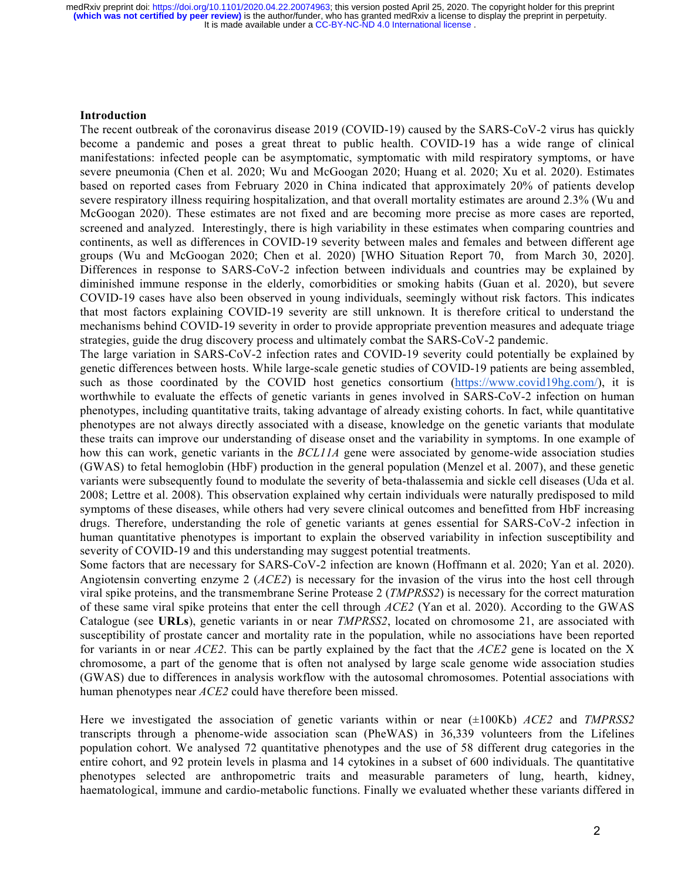## **Introduction**

The recent outbreak of the coronavirus disease 2019 (COVID-19) caused by the SARS-CoV-2 virus has quickly become a pandemic and poses a great threat to public health. COVID-19 has a wide range of clinical manifestations: infected people can be asymptomatic, symptomatic with mild respiratory symptoms, or have severe pneumonia (Chen et al. 2020; Wu and McGoogan 2020; Huang et al. 2020; Xu et al. 2020). Estimates based on reported cases from February 2020 in China indicated that approximately 20% of patients develop severe respiratory illness requiring hospitalization, and that overall mortality estimates are around 2.3% (Wu and McGoogan 2020). These estimates are not fixed and are becoming more precise as more cases are reported, screened and analyzed. Interestingly, there is high variability in these estimates when comparing countries and continents, as well as differences in COVID-19 severity between males and females and between different age groups (Wu and McGoogan 2020; Chen et al. 2020) [WHO Situation Report 70, from March 30, 2020]. Differences in response to SARS-CoV-2 infection between individuals and countries may be explained by diminished immune response in the elderly, comorbidities or smoking habits (Guan et al. 2020), but severe COVID-19 cases have also been observed in young individuals, seemingly without risk factors. This indicates that most factors explaining COVID-19 severity are still unknown. It is therefore critical to understand the mechanisms behind COVID-19 severity in order to provide appropriate prevention measures and adequate triage strategies, guide the drug discovery process and ultimately combat the SARS-CoV-2 pandemic.

The large variation in SARS-CoV-2 infection rates and COVID-19 severity could potentially be explained by genetic differences between hosts. While large-scale genetic studies of COVID-19 patients are being assembled, such as those coordinated by the COVID host genetics consortium (https://www.covid19hg.com/), it is worthwhile to evaluate the effects of genetic variants in genes involved in SARS-CoV-2 infection on human phenotypes, including quantitative traits, taking advantage of already existing cohorts. In fact, while quantitative phenotypes are not always directly associated with a disease, knowledge on the genetic variants that modulate these traits can improve our understanding of disease onset and the variability in symptoms. In one example of how this can work, genetic variants in the *BCL11A* gene were associated by genome-wide association studies (GWAS) to fetal hemoglobin (HbF) production in the general population (Menzel et al. 2007), and these genetic variants were subsequently found to modulate the severity of beta-thalassemia and sickle cell diseases (Uda et al. 2008; Lettre et al. 2008). This observation explained why certain individuals were naturally predisposed to mild symptoms of these diseases, while others had very severe clinical outcomes and benefitted from HbF increasing drugs. Therefore, understanding the role of genetic variants at genes essential for SARS-CoV-2 infection in human quantitative phenotypes is important to explain the observed variability in infection susceptibility and severity of COVID-19 and this understanding may suggest potential treatments.

Some factors that are necessary for SARS-CoV-2 infection are known (Hoffmann et al. 2020; Yan et al. 2020). Angiotensin converting enzyme 2 (*ACE2*) is necessary for the invasion of the virus into the host cell through viral spike proteins, and the transmembrane Serine Protease 2 (*TMPRSS2*) is necessary for the correct maturation of these same viral spike proteins that enter the cell through *ACE2* (Yan et al. 2020). According to the GWAS Catalogue (see **URLs**), genetic variants in or near *TMPRSS2*, located on chromosome 21, are associated with susceptibility of prostate cancer and mortality rate in the population, while no associations have been reported for variants in or near *ACE2*. This can be partly explained by the fact that the *ACE2* gene is located on the X chromosome, a part of the genome that is often not analysed by large scale genome wide association studies (GWAS) due to differences in analysis workflow with the autosomal chromosomes. Potential associations with human phenotypes near *ACE2* could have therefore been missed.

Here we investigated the association of genetic variants within or near (±100Kb) *ACE2* and *TMPRSS2* transcripts through a phenome-wide association scan (PheWAS) in 36,339 volunteers from the Lifelines population cohort. We analysed 72 quantitative phenotypes and the use of 58 different drug categories in the entire cohort, and 92 protein levels in plasma and 14 cytokines in a subset of 600 individuals. The quantitative phenotypes selected are anthropometric traits and measurable parameters of lung, hearth, kidney, haematological, immune and cardio-metabolic functions. Finally we evaluated whether these variants differed in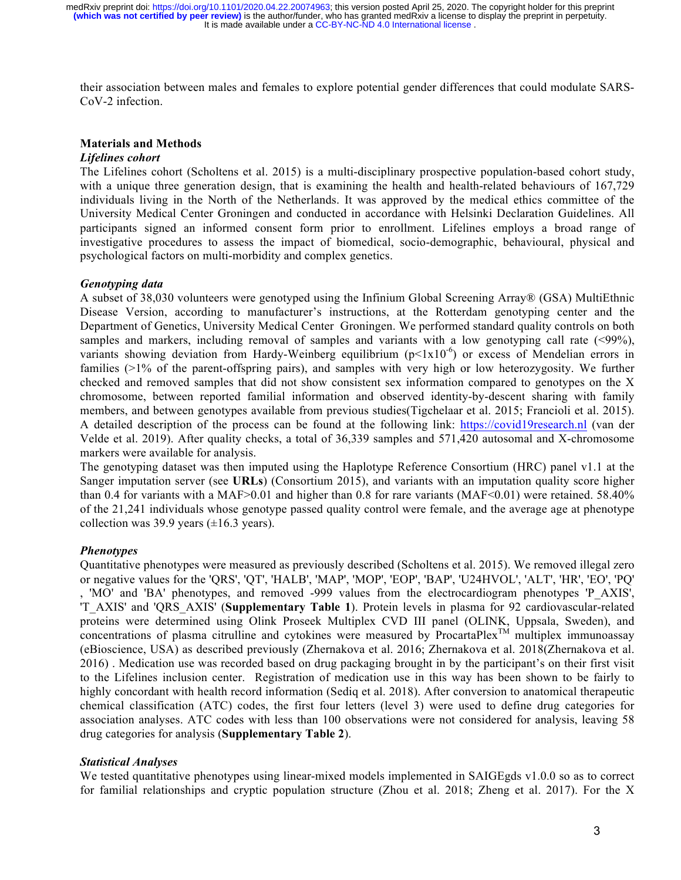It is made available under a [CC-BY-NC-ND 4.0 International license](http://creativecommons.org/licenses/by-nc-nd/4.0/) . **(which was not certified by peer review)** is the author/funder, who has granted medRxiv a license to display the preprint in perpetuity. medRxiv preprint doi: [https://doi.org/10.1101/2020.04.22.20074963;](https://doi.org/10.1101/2020.04.22.20074963) this version posted April 25, 2020. The copyright holder for this preprint

their association between males and females to explore potential gender differences that could modulate SARS-CoV-2 infection.

## **Materials and Methods**

#### *Lifelines cohort*

The Lifelines cohort (Scholtens et al. 2015) is a multi-disciplinary prospective population-based cohort study, with a unique three generation design, that is examining the health and health-related behaviours of 167,729 individuals living in the North of the Netherlands. It was approved by the medical ethics committee of the University Medical Center Groningen and conducted in accordance with Helsinki Declaration Guidelines. All participants signed an informed consent form prior to enrollment. Lifelines employs a broad range of investigative procedures to assess the impact of biomedical, socio-demographic, behavioural, physical and psychological factors on multi-morbidity and complex genetics.

#### *Genotyping data*

A subset of 38,030 volunteers were genotyped using the Infinium Global Screening Array® (GSA) MultiEthnic Disease Version, according to manufacturer's instructions, at the Rotterdam genotyping center and the Department of Genetics, University Medical Center Groningen. We performed standard quality controls on both samples and markers, including removal of samples and variants with a low genotyping call rate (<99%), variants showing deviation from Hardy-Weinberg equilibrium  $(p<1x10^{-6})$  or excess of Mendelian errors in families (>1% of the parent-offspring pairs), and samples with very high or low heterozygosity. We further checked and removed samples that did not show consistent sex information compared to genotypes on the X chromosome, between reported familial information and observed identity-by-descent sharing with family members, and between genotypes available from previous studies(Tigchelaar et al. 2015; Francioli et al. 2015). A detailed description of the process can be found at the following link: https://covid19research.nl (van der Velde et al. 2019). After quality checks, a total of 36,339 samples and 571,420 autosomal and X-chromosome markers were available for analysis.

The genotyping dataset was then imputed using the Haplotype Reference Consortium (HRC) panel v1.1 at the Sanger imputation server (see **URLs**) (Consortium 2015), and variants with an imputation quality score higher than 0.4 for variants with a MAF>0.01 and higher than 0.8 for rare variants (MAF<0.01) were retained. 58.40% of the 21,241 individuals whose genotype passed quality control were female, and the average age at phenotype collection was 39.9 years  $(\pm 16.3 \text{ years})$ .

## *Phenotypes*

Quantitative phenotypes were measured as previously described (Scholtens et al. 2015). We removed illegal zero or negative values for the 'QRS', 'QT', 'HALB', 'MAP', 'MOP', 'EOP', 'BAP', 'U24HVOL', 'ALT', 'HR', 'EO', 'PQ' , 'MO' and 'BA' phenotypes, and removed -999 values from the electrocardiogram phenotypes 'P\_AXIS', 'T\_AXIS' and 'QRS\_AXIS' (**Supplementary Table 1**). Protein levels in plasma for 92 cardiovascular-related proteins were determined using Olink Proseek Multiplex CVD III panel (OLINK, Uppsala, Sweden), and concentrations of plasma citrulline and cytokines were measured by ProcartaPlex<sup>TM</sup> multiplex immunoassay (eBioscience, USA) as described previously (Zhernakova et al. 2016; Zhernakova et al. 2018(Zhernakova et al. 2016) . Medication use was recorded based on drug packaging brought in by the participant's on their first visit to the Lifelines inclusion center. Registration of medication use in this way has been shown to be fairly to highly concordant with health record information (Sediq et al. 2018). After conversion to anatomical therapeutic chemical classification (ATC) codes, the first four letters (level 3) were used to define drug categories for association analyses. ATC codes with less than 100 observations were not considered for analysis, leaving 58 drug categories for analysis (**Supplementary Table 2**).

#### *Statistical Analyses*

We tested quantitative phenotypes using linear-mixed models implemented in SAIGEgds v1.0.0 so as to correct for familial relationships and cryptic population structure (Zhou et al. 2018; Zheng et al. 2017). For the X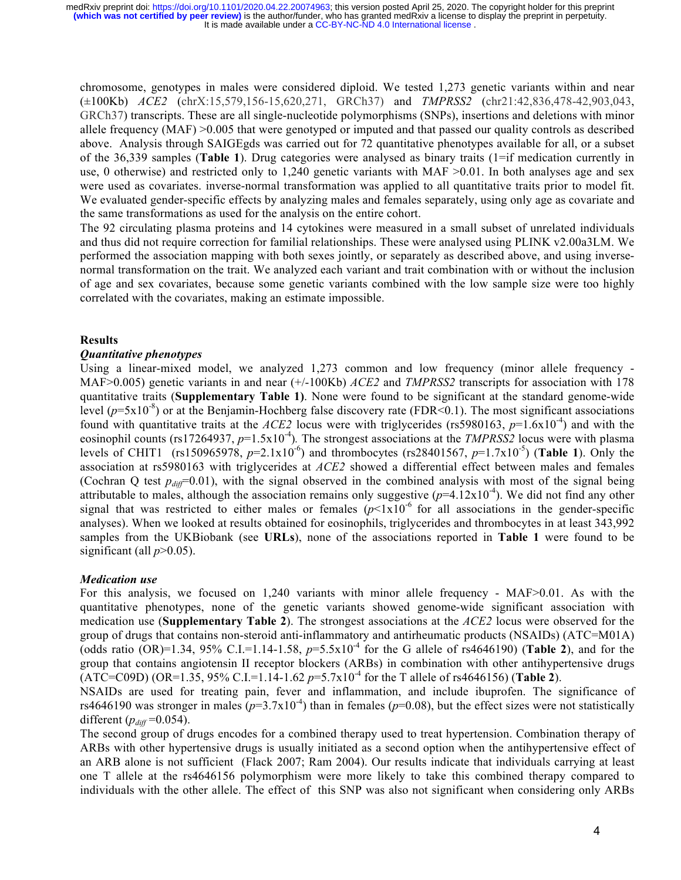chromosome, genotypes in males were considered diploid. We tested 1,273 genetic variants within and near (±100Kb) *ACE2* (chrX:15,579,156-15,620,271, GRCh37) and *TMPRSS2* (chr21:42,836,478-42,903,043, GRCh37) transcripts. These are all single-nucleotide polymorphisms (SNPs), insertions and deletions with minor allele frequency (MAF) >0.005 that were genotyped or imputed and that passed our quality controls as described above. Analysis through SAIGEgds was carried out for 72 quantitative phenotypes available for all, or a subset of the 36,339 samples (**Table 1**). Drug categories were analysed as binary traits (1=if medication currently in use, 0 otherwise) and restricted only to 1,240 genetic variants with MAF  $> 0.01$ . In both analyses age and sex were used as covariates. inverse-normal transformation was applied to all quantitative traits prior to model fit. We evaluated gender-specific effects by analyzing males and females separately, using only age as covariate and the same transformations as used for the analysis on the entire cohort.

The 92 circulating plasma proteins and 14 cytokines were measured in a small subset of unrelated individuals and thus did not require correction for familial relationships. These were analysed using PLINK v2.00a3LM. We performed the association mapping with both sexes jointly, or separately as described above, and using inversenormal transformation on the trait. We analyzed each variant and trait combination with or without the inclusion of age and sex covariates, because some genetic variants combined with the low sample size were too highly correlated with the covariates, making an estimate impossible.

## **Results**

## *Quantitative phenotypes*

Using a linear-mixed model, we analyzed 1,273 common and low frequency (minor allele frequency - MAF>0.005) genetic variants in and near (+/-100Kb) *ACE2* and *TMPRSS2* transcripts for association with 178 quantitative traits (**Supplementary Table 1)**. None were found to be significant at the standard genome-wide level  $(p=5x10^{-8})$  or at the Benjamin-Hochberg false discovery rate (FDR<0.1). The most significant associations found with quantitative traits at the *ACE2* locus were with triglycerides (rs5980163,  $p=1.6x10^{-4}$ ) and with the eosinophil counts (rs17264937,  $p=1.5x10^{-4}$ ). The strongest associations at the *TMPRSS2* locus were with plasma levels of CHIT1 (rs150965978,  $p=2.1x10^{-6}$ ) and thrombocytes (rs28401567,  $p=1.7x10^{-5}$ ) (**Table 1**). Only the association at rs5980163 with triglycerides at *ACE2* showed a differential effect between males and females (Cochran Q test  $p_{diff}=0.01$ ), with the signal observed in the combined analysis with most of the signal being attributable to males, although the association remains only suggestive  $(p=4.12x10^{-4})$ . We did not find any other signal that was restricted to either males or females  $(p<1x10^{-6}$  for all associations in the gender-specific analyses). When we looked at results obtained for eosinophils, triglycerides and thrombocytes in at least 343,992 samples from the UKBiobank (see **URLs**), none of the associations reported in **Table 1** were found to be significant (all  $p > 0.05$ ).

## *Medication use*

For this analysis, we focused on 1,240 variants with minor allele frequency - MAF>0.01. As with the quantitative phenotypes, none of the genetic variants showed genome-wide significant association with medication use (**Supplementary Table 2**). The strongest associations at the *ACE2* locus were observed for the group of drugs that contains non-steroid anti-inflammatory and antirheumatic products (NSAIDs) (ATC=M01A) (odds ratio (OR)=1.34, 95% C.I.=1.14-1.58,  $p=5.5x10^{-4}$  for the G allele of rs4646190) (**Table 2**), and for the group that contains angiotensin II receptor blockers (ARBs) in combination with other antihypertensive drugs  $(ATC=C09D) (OR=1.35, 95\% C.I.=1.14-1.62 p=5.7x10^{-4}$  for the T allele of rs4646156) (**Table 2**).

NSAIDs are used for treating pain, fever and inflammation, and include ibuprofen. The significance of rs4646190 was stronger in males  $(p=3.7x10^{-4})$  than in females  $(p=0.08)$ , but the effect sizes were not statistically different  $(p_{diff} = 0.054)$ .

The second group of drugs encodes for a combined therapy used to treat hypertension. Combination therapy of ARBs with other hypertensive drugs is usually initiated as a second option when the antihypertensive effect of an ARB alone is not sufficient (Flack 2007; Ram 2004). Our results indicate that individuals carrying at least one T allele at the rs4646156 polymorphism were more likely to take this combined therapy compared to individuals with the other allele. The effect of this SNP was also not significant when considering only ARBs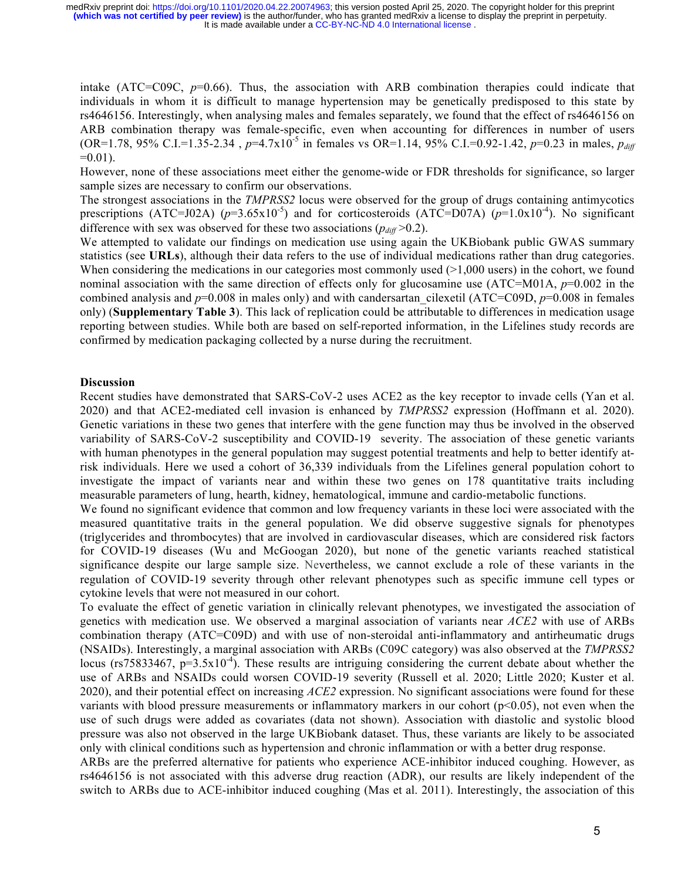intake (ATC= $C09C$ ,  $p=0.66$ ). Thus, the association with ARB combination therapies could indicate that individuals in whom it is difficult to manage hypertension may be genetically predisposed to this state by rs4646156. Interestingly, when analysing males and females separately, we found that the effect of rs4646156 on ARB combination therapy was female-specific, even when accounting for differences in number of users (OR=1.78, 95% C.I.=1.35-2.34,  $p=4.7x10^{-5}$  in females vs OR=1.14, 95% C.I.=0.92-1.42,  $p=0.23$  in males,  $p_{diff}$  $=0.01$ ).

However, none of these associations meet either the genome-wide or FDR thresholds for significance, so larger sample sizes are necessary to confirm our observations.

The strongest associations in the *TMPRSS2* locus were observed for the group of drugs containing antimycotics prescriptions (ATC=J02A) ( $p=3.65\times10^{-5}$ ) and for corticosteroids (ATC=D07A) ( $p=1.0\times10^{-4}$ ). No significant difference with sex was observed for these two associations  $(p_{diff} > 0.2)$ .

We attempted to validate our findings on medication use using again the UKBiobank public GWAS summary statistics (see **URLs**), although their data refers to the use of individual medications rather than drug categories. When considering the medications in our categories most commonly used  $(>1,000$  users) in the cohort, we found nominal association with the same direction of effects only for glucosamine use (ATC=M01A, *p*=0.002 in the combined analysis and *p*=0.008 in males only) and with candersartan cilexetil (ATC=C09D, *p*=0.008 in females only) (**Supplementary Table 3**). This lack of replication could be attributable to differences in medication usage reporting between studies. While both are based on self-reported information, in the Lifelines study records are confirmed by medication packaging collected by a nurse during the recruitment.

#### **Discussion**

Recent studies have demonstrated that SARS-CoV-2 uses ACE2 as the key receptor to invade cells (Yan et al. 2020) and that ACE2-mediated cell invasion is enhanced by *TMPRSS2* expression (Hoffmann et al. 2020). Genetic variations in these two genes that interfere with the gene function may thus be involved in the observed variability of SARS-CoV-2 susceptibility and COVID-19 severity. The association of these genetic variants with human phenotypes in the general population may suggest potential treatments and help to better identify atrisk individuals. Here we used a cohort of 36,339 individuals from the Lifelines general population cohort to investigate the impact of variants near and within these two genes on 178 quantitative traits including measurable parameters of lung, hearth, kidney, hematological, immune and cardio-metabolic functions.

We found no significant evidence that common and low frequency variants in these loci were associated with the measured quantitative traits in the general population. We did observe suggestive signals for phenotypes (triglycerides and thrombocytes) that are involved in cardiovascular diseases, which are considered risk factors for COVID-19 diseases (Wu and McGoogan 2020), but none of the genetic variants reached statistical significance despite our large sample size. Nevertheless, we cannot exclude a role of these variants in the regulation of COVID-19 severity through other relevant phenotypes such as specific immune cell types or cytokine levels that were not measured in our cohort.

To evaluate the effect of genetic variation in clinically relevant phenotypes, we investigated the association of genetics with medication use. We observed a marginal association of variants near *ACE2* with use of ARBs combination therapy (ATC=C09D) and with use of non-steroidal anti-inflammatory and antirheumatic drugs (NSAIDs). Interestingly, a marginal association with ARBs (C09C category) was also observed at the *TMPRSS2* locus (rs75833467,  $p=3.5x10^{-4}$ ). These results are intriguing considering the current debate about whether the use of ARBs and NSAIDs could worsen COVID-19 severity (Russell et al. 2020; Little 2020; Kuster et al. 2020), and their potential effect on increasing *ACE2* expression. No significant associations were found for these variants with blood pressure measurements or inflammatory markers in our cohort ( $p<0.05$ ), not even when the use of such drugs were added as covariates (data not shown). Association with diastolic and systolic blood pressure was also not observed in the large UKBiobank dataset. Thus, these variants are likely to be associated only with clinical conditions such as hypertension and chronic inflammation or with a better drug response.

ARBs are the preferred alternative for patients who experience ACE-inhibitor induced coughing. However, as rs4646156 is not associated with this adverse drug reaction (ADR), our results are likely independent of the switch to ARBs due to ACE-inhibitor induced coughing (Mas et al. 2011). Interestingly, the association of this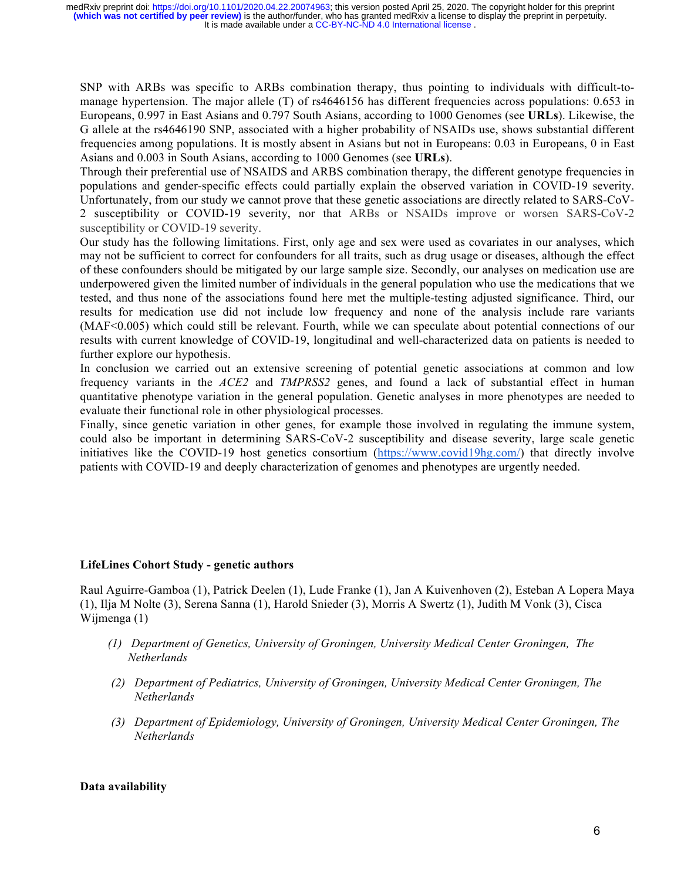SNP with ARBs was specific to ARBs combination therapy, thus pointing to individuals with difficult-tomanage hypertension. The major allele (T) of rs4646156 has different frequencies across populations: 0.653 in Europeans, 0.997 in East Asians and 0.797 South Asians, according to 1000 Genomes (see **URLs**). Likewise, the G allele at the rs4646190 SNP, associated with a higher probability of NSAIDs use, shows substantial different frequencies among populations. It is mostly absent in Asians but not in Europeans: 0.03 in Europeans, 0 in East Asians and 0.003 in South Asians, according to 1000 Genomes (see **URLs**).

Through their preferential use of NSAIDS and ARBS combination therapy, the different genotype frequencies in populations and gender-specific effects could partially explain the observed variation in COVID-19 severity. Unfortunately, from our study we cannot prove that these genetic associations are directly related to SARS-CoV-2 susceptibility or COVID-19 severity, nor that ARBs or NSAIDs improve or worsen SARS-CoV-2 susceptibility or COVID-19 severity.

Our study has the following limitations. First, only age and sex were used as covariates in our analyses, which may not be sufficient to correct for confounders for all traits, such as drug usage or diseases, although the effect of these confounders should be mitigated by our large sample size. Secondly, our analyses on medication use are underpowered given the limited number of individuals in the general population who use the medications that we tested, and thus none of the associations found here met the multiple-testing adjusted significance. Third, our results for medication use did not include low frequency and none of the analysis include rare variants (MAF<0.005) which could still be relevant. Fourth, while we can speculate about potential connections of our results with current knowledge of COVID-19, longitudinal and well-characterized data on patients is needed to further explore our hypothesis.

In conclusion we carried out an extensive screening of potential genetic associations at common and low frequency variants in the *ACE2* and *TMPRSS2* genes, and found a lack of substantial effect in human quantitative phenotype variation in the general population. Genetic analyses in more phenotypes are needed to evaluate their functional role in other physiological processes.

Finally, since genetic variation in other genes, for example those involved in regulating the immune system, could also be important in determining SARS-CoV-2 susceptibility and disease severity, large scale genetic initiatives like the COVID-19 host genetics consortium (https://www.covid19hg.com/) that directly involve patients with COVID-19 and deeply characterization of genomes and phenotypes are urgently needed.

## **LifeLines Cohort Study - genetic authors**

Raul Aguirre-Gamboa (1), Patrick Deelen (1), Lude Franke (1), Jan A Kuivenhoven (2), Esteban A Lopera Maya (1), Ilja M Nolte (3), Serena Sanna (1), Harold Snieder (3), Morris A Swertz (1), Judith M Vonk (3), Cisca Wijmenga (1)

- *(1) Department of Genetics, University of Groningen, University Medical Center Groningen, The Netherlands*
- *(2) Department of Pediatrics, University of Groningen, University Medical Center Groningen, The Netherlands*
- *(3) Department of Epidemiology, University of Groningen, University Medical Center Groningen, The Netherlands*

#### **Data availability**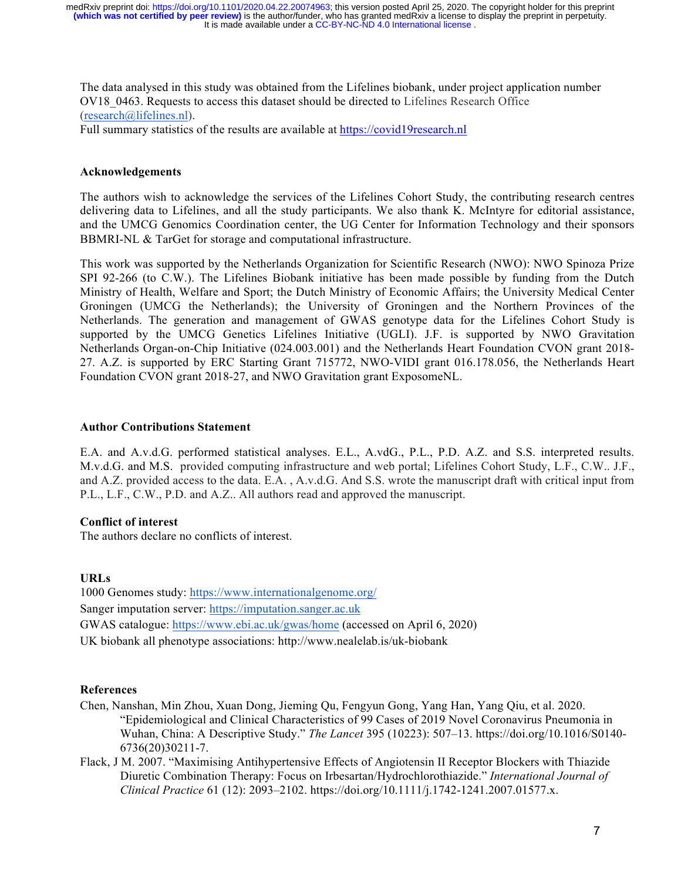The data analysed in this study was obtained from the Lifelines biobank, under project application number OV18\_0463. Requests to access this dataset should be directed to Lifelines Research Office (research@lifelines.nl).

Full summary statistics of the results are available at https://covid19research.nl

## **Acknowledgements**

The authors wish to acknowledge the services of the Lifelines Cohort Study, the contributing research centres delivering data to Lifelines, and all the study participants. We also thank K. McIntyre for editorial assistance, and the UMCG Genomics Coordination center, the UG Center for Information Technology and their sponsors BBMRI-NL & TarGet for storage and computational infrastructure.

This work was supported by the Netherlands Organization for Scientific Research (NWO): NWO Spinoza Prize SPI 92-266 (to C.W.). The Lifelines Biobank initiative has been made possible by funding from the Dutch Ministry of Health, Welfare and Sport; the Dutch Ministry of Economic Affairs; the University Medical Center Groningen (UMCG the Netherlands); the University of Groningen and the Northern Provinces of the Netherlands. The generation and management of GWAS genotype data for the Lifelines Cohort Study is supported by the UMCG Genetics Lifelines Initiative (UGLI). J.F. is supported by NWO Gravitation Netherlands Organ-on-Chip Initiative (024.003.001) and the Netherlands Heart Foundation CVON grant 2018- 27. A.Z. is supported by ERC Starting Grant 715772, NWO-VIDI grant 016.178.056, the Netherlands Heart Foundation CVON grant 2018-27, and NWO Gravitation grant ExposomeNL.

## **Author Contributions Statement**

E.A. and A.v.d.G. performed statistical analyses. E.L., A.vdG., P.L., P.D. A.Z. and S.S. interpreted results. M.v.d.G. and M.S. provided computing infrastructure and web portal; Lifelines Cohort Study, L.F., C.W.. J.F., and A.Z. provided access to the data. E.A. , A.v.d.G. And S.S. wrote the manuscript draft with critical input from P.L., L.F., C.W., P.D. and A.Z.. All authors read and approved the manuscript.

## **Conflict of interest**

The authors declare no conflicts of interest.

# **URLs**

1000 Genomes study: https://www.internationalgenome.org/ Sanger imputation server: https://imputation.sanger.ac.uk GWAS catalogue: https://www.ebi.ac.uk/gwas/home (accessed on April 6, 2020) UK biobank all phenotype associations: http://www.nealelab.is/uk-biobank

## **References**

- Chen, Nanshan, Min Zhou, Xuan Dong, Jieming Qu, Fengyun Gong, Yang Han, Yang Qiu, et al. 2020. "Epidemiological and Clinical Characteristics of 99 Cases of 2019 Novel Coronavirus Pneumonia in Wuhan, China: A Descriptive Study." *The Lancet* 395 (10223): 507–13. https://doi.org/10.1016/S0140- 6736(20)30211-7.
- Flack, J M. 2007. "Maximising Antihypertensive Effects of Angiotensin II Receptor Blockers with Thiazide Diuretic Combination Therapy: Focus on Irbesartan/Hydrochlorothiazide." *International Journal of Clinical Practice* 61 (12): 2093–2102. https://doi.org/10.1111/j.1742-1241.2007.01577.x.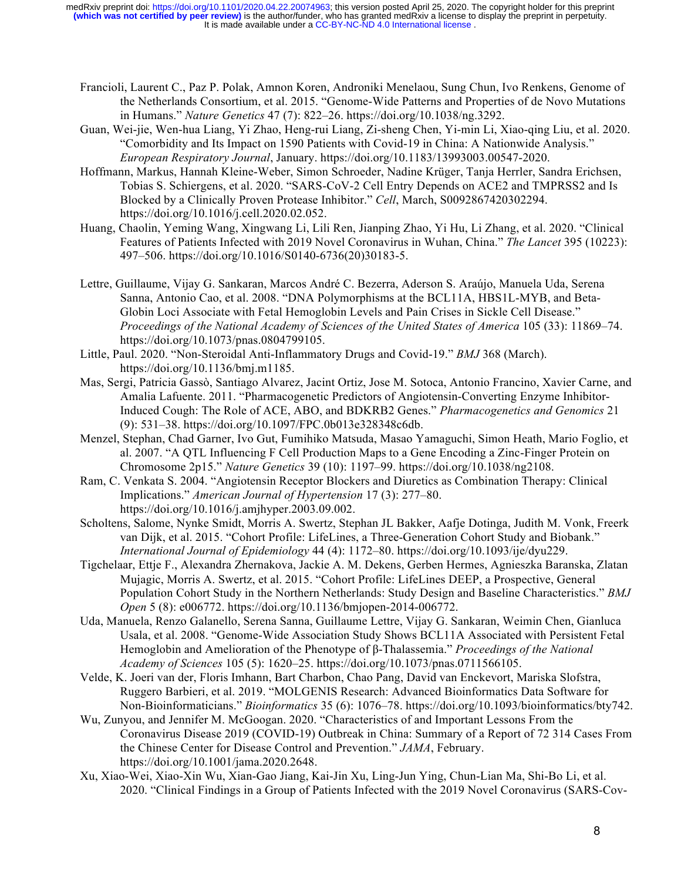- Francioli, Laurent C., Paz P. Polak, Amnon Koren, Androniki Menelaou, Sung Chun, Ivo Renkens, Genome of the Netherlands Consortium, et al. 2015. "Genome-Wide Patterns and Properties of de Novo Mutations in Humans." *Nature Genetics* 47 (7): 822–26. https://doi.org/10.1038/ng.3292.
- Guan, Wei-jie, Wen-hua Liang, Yi Zhao, Heng-rui Liang, Zi-sheng Chen, Yi-min Li, Xiao-qing Liu, et al. 2020. "Comorbidity and Its Impact on 1590 Patients with Covid-19 in China: A Nationwide Analysis." *European Respiratory Journal*, January. https://doi.org/10.1183/13993003.00547-2020.
- Hoffmann, Markus, Hannah Kleine-Weber, Simon Schroeder, Nadine Krüger, Tanja Herrler, Sandra Erichsen, Tobias S. Schiergens, et al. 2020. "SARS-CoV-2 Cell Entry Depends on ACE2 and TMPRSS2 and Is Blocked by a Clinically Proven Protease Inhibitor." *Cell*, March, S0092867420302294. https://doi.org/10.1016/j.cell.2020.02.052.
- Huang, Chaolin, Yeming Wang, Xingwang Li, Lili Ren, Jianping Zhao, Yi Hu, Li Zhang, et al. 2020. "Clinical Features of Patients Infected with 2019 Novel Coronavirus in Wuhan, China." *The Lancet* 395 (10223): 497–506. https://doi.org/10.1016/S0140-6736(20)30183-5.
- Lettre, Guillaume, Vijay G. Sankaran, Marcos André C. Bezerra, Aderson S. Araújo, Manuela Uda, Serena Sanna, Antonio Cao, et al. 2008. "DNA Polymorphisms at the BCL11A, HBS1L-MYB, and Beta-Globin Loci Associate with Fetal Hemoglobin Levels and Pain Crises in Sickle Cell Disease." *Proceedings of the National Academy of Sciences of the United States of America* 105 (33): 11869–74. https://doi.org/10.1073/pnas.0804799105.
- Little, Paul. 2020. "Non-Steroidal Anti-Inflammatory Drugs and Covid-19." *BMJ* 368 (March). https://doi.org/10.1136/bmj.m1185.
- Mas, Sergi, Patricia Gassò, Santiago Alvarez, Jacint Ortiz, Jose M. Sotoca, Antonio Francino, Xavier Carne, and Amalia Lafuente. 2011. "Pharmacogenetic Predictors of Angiotensin-Converting Enzyme Inhibitor-Induced Cough: The Role of ACE, ABO, and BDKRB2 Genes." *Pharmacogenetics and Genomics* 21 (9): 531–38. https://doi.org/10.1097/FPC.0b013e328348c6db.
- Menzel, Stephan, Chad Garner, Ivo Gut, Fumihiko Matsuda, Masao Yamaguchi, Simon Heath, Mario Foglio, et al. 2007. "A QTL Influencing F Cell Production Maps to a Gene Encoding a Zinc-Finger Protein on Chromosome 2p15." *Nature Genetics* 39 (10): 1197–99. https://doi.org/10.1038/ng2108.
- Ram, C. Venkata S. 2004. "Angiotensin Receptor Blockers and Diuretics as Combination Therapy: Clinical Implications." *American Journal of Hypertension* 17 (3): 277–80. https://doi.org/10.1016/j.amjhyper.2003.09.002.
- Scholtens, Salome, Nynke Smidt, Morris A. Swertz, Stephan JL Bakker, Aafje Dotinga, Judith M. Vonk, Freerk van Dijk, et al. 2015. "Cohort Profile: LifeLines, a Three-Generation Cohort Study and Biobank." *International Journal of Epidemiology* 44 (4): 1172–80. https://doi.org/10.1093/ije/dyu229.
- Tigchelaar, Ettje F., Alexandra Zhernakova, Jackie A. M. Dekens, Gerben Hermes, Agnieszka Baranska, Zlatan Mujagic, Morris A. Swertz, et al. 2015. "Cohort Profile: LifeLines DEEP, a Prospective, General Population Cohort Study in the Northern Netherlands: Study Design and Baseline Characteristics." *BMJ Open* 5 (8): e006772. https://doi.org/10.1136/bmjopen-2014-006772.
- Uda, Manuela, Renzo Galanello, Serena Sanna, Guillaume Lettre, Vijay G. Sankaran, Weimin Chen, Gianluca Usala, et al. 2008. "Genome-Wide Association Study Shows BCL11A Associated with Persistent Fetal Hemoglobin and Amelioration of the Phenotype of β-Thalassemia." *Proceedings of the National Academy of Sciences* 105 (5): 1620–25. https://doi.org/10.1073/pnas.0711566105.
- Velde, K. Joeri van der, Floris Imhann, Bart Charbon, Chao Pang, David van Enckevort, Mariska Slofstra, Ruggero Barbieri, et al. 2019. "MOLGENIS Research: Advanced Bioinformatics Data Software for Non-Bioinformaticians." *Bioinformatics* 35 (6): 1076–78. https://doi.org/10.1093/bioinformatics/bty742.
- Wu, Zunyou, and Jennifer M. McGoogan. 2020. "Characteristics of and Important Lessons From the Coronavirus Disease 2019 (COVID-19) Outbreak in China: Summary of a Report of 72 314 Cases From the Chinese Center for Disease Control and Prevention." *JAMA*, February. https://doi.org/10.1001/jama.2020.2648.
- Xu, Xiao-Wei, Xiao-Xin Wu, Xian-Gao Jiang, Kai-Jin Xu, Ling-Jun Ying, Chun-Lian Ma, Shi-Bo Li, et al. 2020. "Clinical Findings in a Group of Patients Infected with the 2019 Novel Coronavirus (SARS-Cov-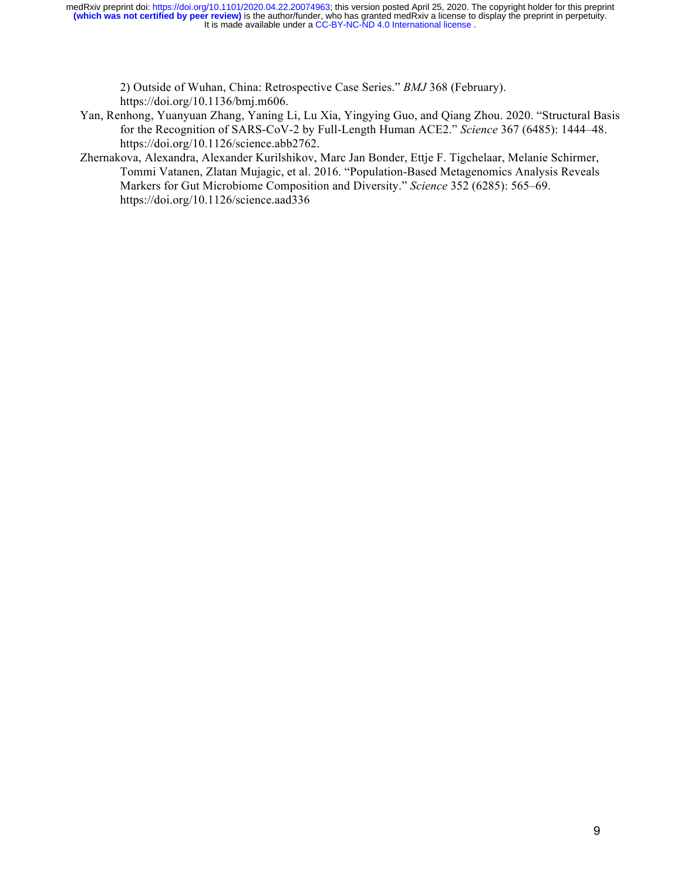2) Outside of Wuhan, China: Retrospective Case Series." *BMJ* 368 (February). https://doi.org/10.1136/bmj.m606.

- Yan, Renhong, Yuanyuan Zhang, Yaning Li, Lu Xia, Yingying Guo, and Qiang Zhou. 2020. "Structural Basis for the Recognition of SARS-CoV-2 by Full-Length Human ACE2." *Science* 367 (6485): 1444–48. https://doi.org/10.1126/science.abb2762.
- Zhernakova, Alexandra, Alexander Kurilshikov, Marc Jan Bonder, Ettje F. Tigchelaar, Melanie Schirmer, Tommi Vatanen, Zlatan Mujagic, et al. 2016. "Population-Based Metagenomics Analysis Reveals Markers for Gut Microbiome Composition and Diversity." *Science* 352 (6285): 565–69. https://doi.org/10.1126/science.aad336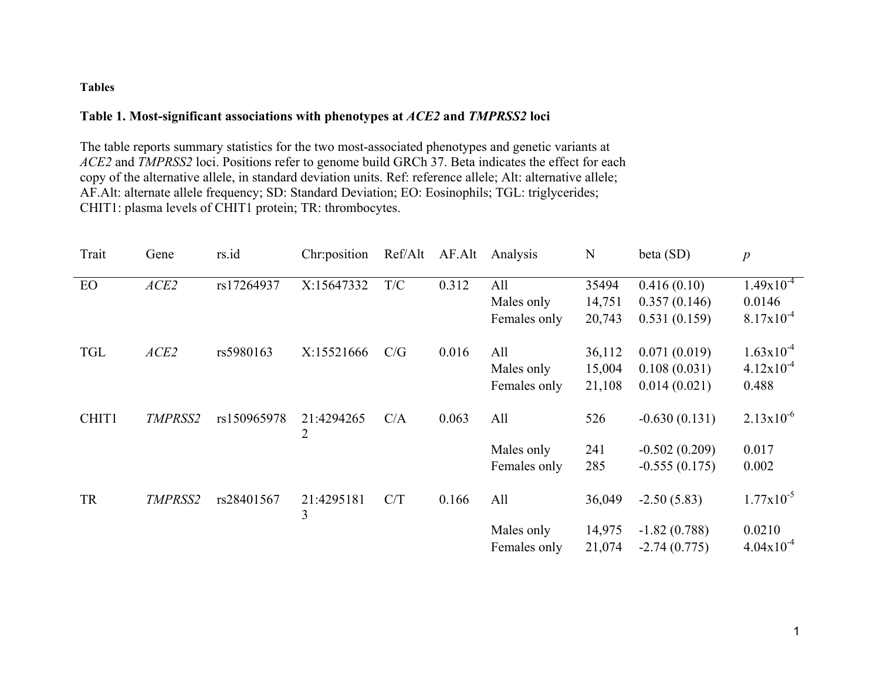# **Tables**

# **Table 1. Most-significant associations with phenotypes at** *ACE2* **and** *TMPRSS2* **loci**

The table reports summary statistics for the two most-associated phenotypes and genetic variants at *ACE2* and *TMPRSS2* loci. Positions refer to genome build GRCh 37. Beta indicates the effect for each copy of the alternative allele, in standard deviation units. Ref: reference allele; Alt: alternative allele; AF.Alt: alternate allele frequency; SD: Standard Deviation; EO: Eosinophils; TGL: triglycerides; CHIT1: plasma levels of CHIT1 protein; TR: thrombocytes.

| Trait      | Gene    | rs.id       | Chr:position    | Ref/Alt | AF.Alt | Analysis     | N      | beta (SD)       | $\boldsymbol{p}$      |
|------------|---------|-------------|-----------------|---------|--------|--------------|--------|-----------------|-----------------------|
| EO         | ACE2    | rs17264937  | X:15647332      | T/C     | 0.312  | All          | 35494  | 0.416(0.10)     | $1.49x10^{-4}$        |
|            |         |             |                 |         |        | Males only   | 14,751 | 0.357(0.146)    | 0.0146                |
|            |         |             |                 |         |        | Females only | 20,743 | 0.531(0.159)    | $8.17x10^{-4}$        |
| <b>TGL</b> | ACE2    | rs5980163   | X:15521666      | C/G     | 0.016  | All          | 36,112 | 0.071(0.019)    | $1.63 \times 10^{-4}$ |
|            |         |             |                 |         |        | Males only   | 15,004 | 0.108(0.031)    | $4.12x10^{-4}$        |
|            |         |             |                 |         |        | Females only | 21,108 | 0.014(0.021)    | 0.488                 |
| CHIT1      | TMPRSS2 | rs150965978 | 21:4294265<br>2 | C/A     | 0.063  | All          | 526    | $-0.630(0.131)$ | $2.13x10^{-6}$        |
|            |         |             |                 |         |        | Males only   | 241    | $-0.502(0.209)$ | 0.017                 |
|            |         |             |                 |         |        | Females only | 285    | $-0.555(0.175)$ | 0.002                 |
| <b>TR</b>  | TMPRSS2 | rs28401567  | 21:4295181<br>3 | C/T     | 0.166  | All          | 36,049 | $-2.50(5.83)$   | $1.77 \times 10^{-5}$ |
|            |         |             |                 |         |        | Males only   | 14,975 | $-1.82(0.788)$  | 0.0210                |
|            |         |             |                 |         |        | Females only | 21,074 | $-2.74(0.775)$  | $4.04x10^{-4}$        |